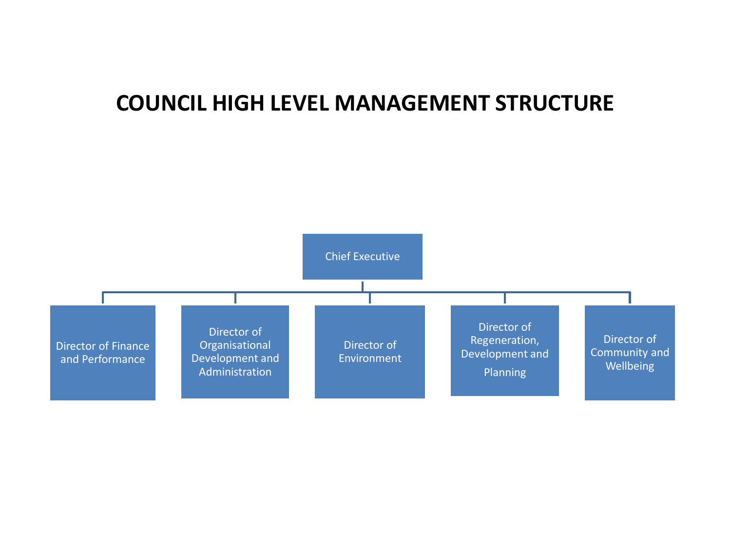### **COUNCIL HIGH LEVEL MANAGEMENT STRUCTURE**

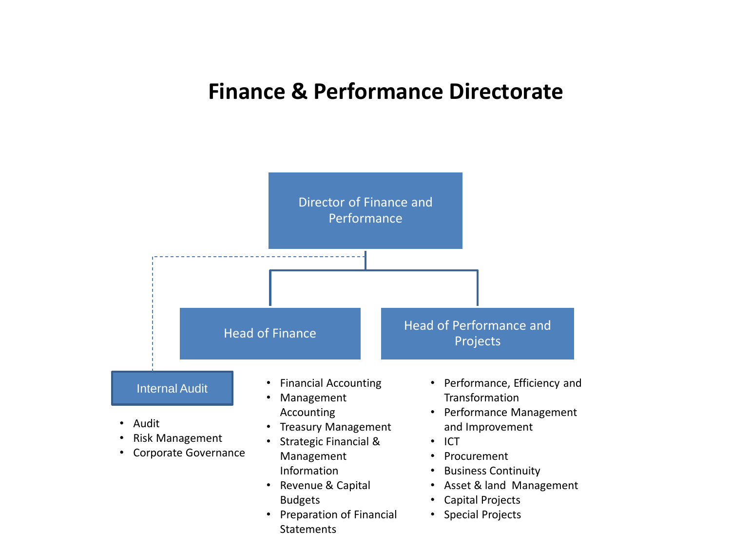### **Finance & Performance Directorate**

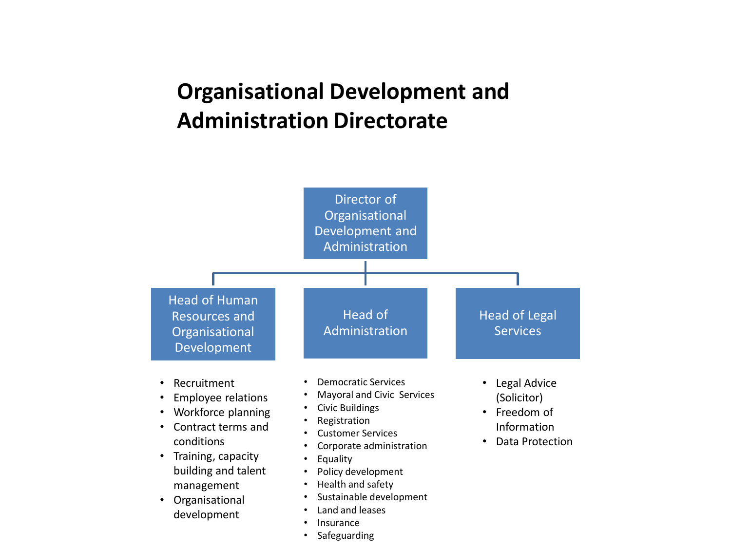# **Organisational Development and Administration Directorate**



**Safeguarding**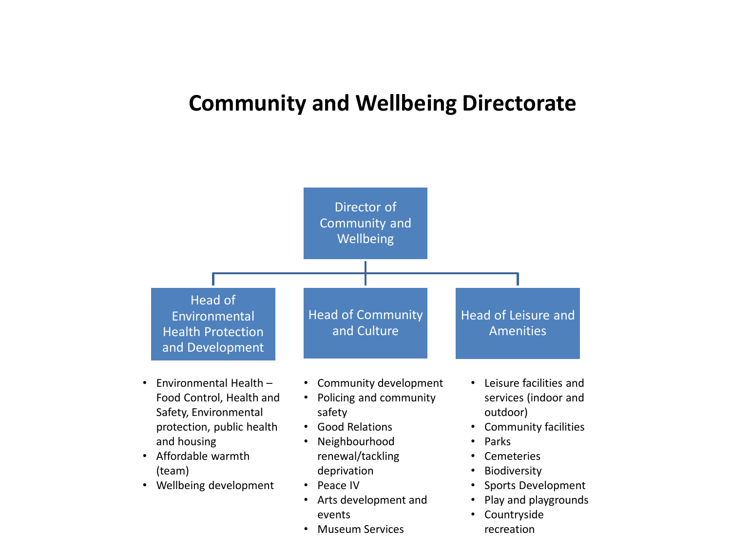### **Community and Wellbeing Directorate**

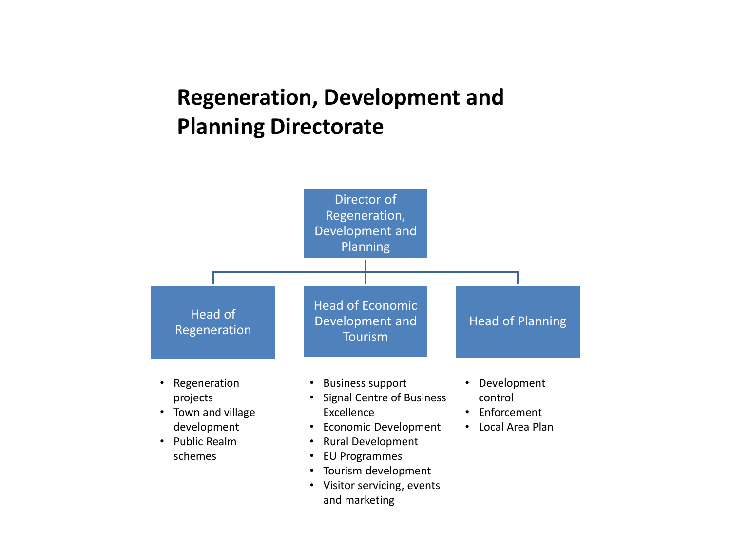## **Regeneration, Development and Planning Directorate**